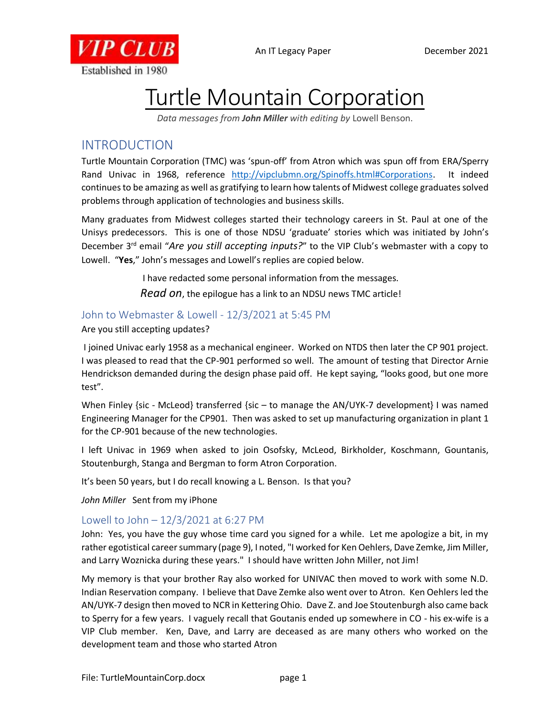



# Turtle Mountain Corporation

*Data messages from John Miller with editing by* Lowell Benson.

# INTRODUCTION

Turtle Mountain Corporation (TMC) was 'spun-off' from Atron which was spun off from ERA/Sperry Rand Univac in 1968, reference [http://vipclubmn.org/Spinoffs.html#Corporations.](http://vipclubmn.org/Spinoffs.html#Corporations) It indeed continues to be amazing as well as gratifying to learn how talents of Midwest college graduates solved problems through application of technologies and business skills.

Many graduates from Midwest colleges started their technology careers in St. Paul at one of the Unisys predecessors. This is one of those NDSU 'graduate' stories which was initiated by John's December 3rd email "*Are you still accepting inputs?*" to the VIP Club's webmaster with a copy to Lowell. "**Yes**," John's messages and Lowell's replies are copied below.

> I have redacted some personal information from the messages. *Read on*, the epilogue has a link to an NDSU news TMC article!

## John to Webmaster & Lowell - 12/3/2021 at 5:45 PM

#### Are you still accepting updates?

I joined Univac early 1958 as a mechanical engineer. Worked on NTDS then later the CP 901 project. I was pleased to read that the CP-901 performed so well. The amount of testing that Director Arnie Hendrickson demanded during the design phase paid off. He kept saying, "looks good, but one more test".

When Finley {sic - McLeod} transferred {sic – to manage the AN/UYK-7 development} I was named Engineering Manager for the CP901. Then was asked to set up manufacturing organization in plant 1 for the CP-901 because of the new technologies.

I left Univac in 1969 when asked to join Osofsky, McLeod, Birkholder, Koschmann, Gountanis, Stoutenburgh, Stanga and Bergman to form Atron Corporation.

It's been 50 years, but I do recall knowing a L. Benson. Is that you?

*John Miller* Sent from my iPhone

### Lowell to John – 12/3/2021 at 6:27 PM

John: Yes, you have the guy whose time card you signed for a while. Let me apologize a bit, in my rather egotistical career summary (page 9), I noted, "I worked for Ken Oehlers, Dave Zemke, Jim Miller, and Larry Woznicka during these years." I should have written John Miller, not Jim!

My memory is that your brother Ray also worked for UNIVAC then moved to work with some N.D. Indian Reservation company. I believe that Dave Zemke also went over to Atron. Ken Oehlers led the AN/UYK-7 design then moved to NCR in Kettering Ohio. Dave Z. and Joe Stoutenburgh also came back to Sperry for a few years. I vaguely recall that Goutanis ended up somewhere in CO - his ex-wife is a VIP Club member. Ken, Dave, and Larry are deceased as are many others who worked on the development team and those who started Atron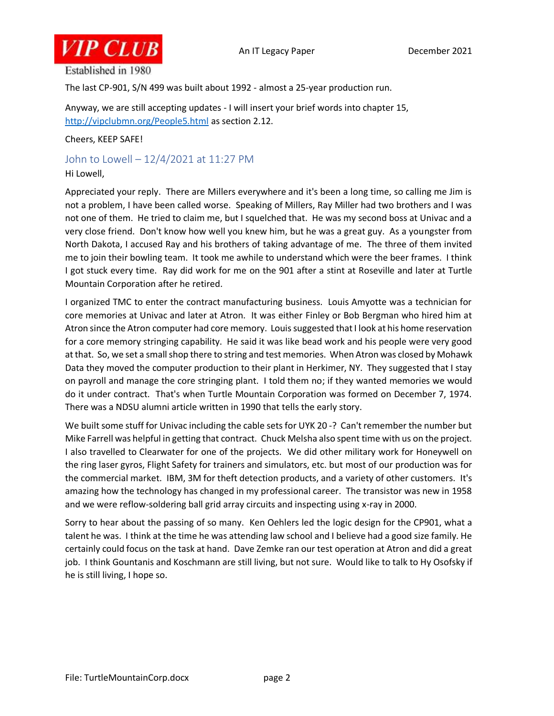

Established in 1980

The last CP-901, S/N 499 was built about 1992 - almost a 25-year production run.

Anyway, we are still accepting updates - I will insert your brief words into chapter 15, <http://vipclubmn.org/People5.html> as section 2.12.

Cheers, KEEP SAFE!

#### John to Lowell – 12/4/2021 at 11:27 PM

Hi Lowell,

Appreciated your reply. There are Millers everywhere and it's been a long time, so calling me Jim is not a problem, I have been called worse. Speaking of Millers, Ray Miller had two brothers and I was not one of them. He tried to claim me, but I squelched that. He was my second boss at Univac and a very close friend. Don't know how well you knew him, but he was a great guy. As a youngster from North Dakota, I accused Ray and his brothers of taking advantage of me. The three of them invited me to join their bowling team. It took me awhile to understand which were the beer frames. I think I got stuck every time. Ray did work for me on the 901 after a stint at Roseville and later at Turtle Mountain Corporation after he retired.

I organized TMC to enter the contract manufacturing business. Louis Amyotte was a technician for core memories at Univac and later at Atron. It was either Finley or Bob Bergman who hired him at Atron since the Atron computer had core memory. Louis suggested that I look at his home reservation for a core memory stringing capability. He said it was like bead work and his people were very good at that. So, we set a small shop there to string and test memories. When Atron was closed by Mohawk Data they moved the computer production to their plant in Herkimer, NY. They suggested that I stay on payroll and manage the core stringing plant. I told them no; if they wanted memories we would do it under contract. That's when Turtle Mountain Corporation was formed on December 7, 1974. There was a NDSU alumni article written in 1990 that tells the early story.

We built some stuff for Univac including the cable sets for UYK 20 -? Can't remember the number but Mike Farrell was helpful in getting that contract. Chuck Melsha also spent time with us on the project. I also travelled to Clearwater for one of the projects. We did other military work for Honeywell on the ring laser gyros, Flight Safety for trainers and simulators, etc. but most of our production was for the commercial market. IBM, 3M for theft detection products, and a variety of other customers. It's amazing how the technology has changed in my professional career. The transistor was new in 1958 and we were reflow-soldering ball grid array circuits and inspecting using x-ray in 2000.

Sorry to hear about the passing of so many. Ken Oehlers led the logic design for the CP901, what a talent he was. I think at the time he was attending law school and I believe had a good size family. He certainly could focus on the task at hand. Dave Zemke ran our test operation at Atron and did a great job. I think Gountanis and Koschmann are still living, but not sure. Would like to talk to Hy Osofsky if he is still living, I hope so.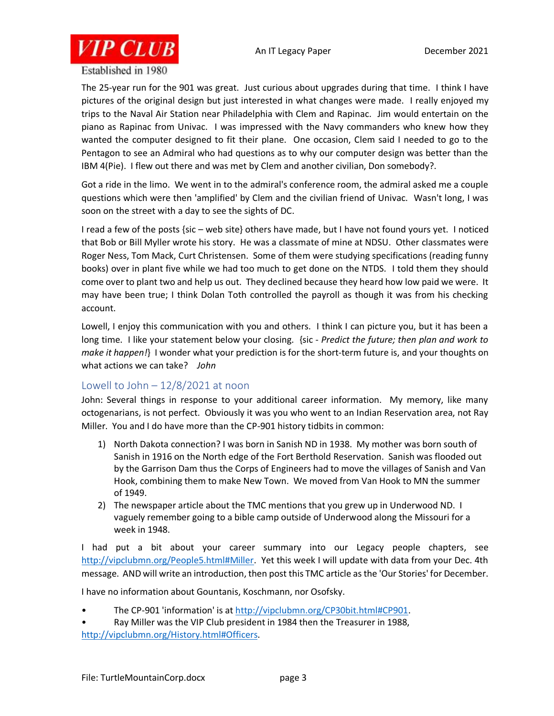

Established in 1980

The 25-year run for the 901 was great. Just curious about upgrades during that time. I think I have pictures of the original design but just interested in what changes were made. I really enjoyed my trips to the Naval Air Station near Philadelphia with Clem and Rapinac. Jim would entertain on the piano as Rapinac from Univac. I was impressed with the Navy commanders who knew how they wanted the computer designed to fit their plane. One occasion, Clem said I needed to go to the Pentagon to see an Admiral who had questions as to why our computer design was better than the IBM 4(Pie). I flew out there and was met by Clem and another civilian, Don somebody?.

Got a ride in the limo. We went in to the admiral's conference room, the admiral asked me a couple questions which were then 'amplified' by Clem and the civilian friend of Univac. Wasn't long, I was soon on the street with a day to see the sights of DC.

I read a few of the posts {sic – web site} others have made, but I have not found yours yet. I noticed that Bob or Bill Myller wrote his story. He was a classmate of mine at NDSU. Other classmates were Roger Ness, Tom Mack, Curt Christensen. Some of them were studying specifications (reading funny books) over in plant five while we had too much to get done on the NTDS. I told them they should come over to plant two and help us out. They declined because they heard how low paid we were. It may have been true; I think Dolan Toth controlled the payroll as though it was from his checking account.

Lowell, I enjoy this communication with you and others. I think I can picture you, but it has been a long time. I like your statement below your closing. {sic - *Predict the future; then plan and work to make it happen!*} I wonder what your prediction is for the short-term future is, and your thoughts on what actions we can take? *John*

### Lowell to John  $-12/8/2021$  at noon

John: Several things in response to your additional career information. My memory, like many octogenarians, is not perfect. Obviously it was you who went to an Indian Reservation area, not Ray Miller. You and I do have more than the CP-901 history tidbits in common:

- 1) North Dakota connection? I was born in Sanish ND in 1938. My mother was born south of Sanish in 1916 on the North edge of the Fort Berthold Reservation. Sanish was flooded out by the Garrison Dam thus the Corps of Engineers had to move the villages of Sanish and Van Hook, combining them to make New Town. We moved from Van Hook to MN the summer of 1949.
- 2) The newspaper article about the TMC mentions that you grew up in Underwood ND. I vaguely remember going to a bible camp outside of Underwood along the Missouri for a week in 1948.

I had put a bit about your career summary into our Legacy people chapters, see [http://vipclubmn.org/People5.html#Miller.](http://vipclubmn.org/People5.html#Miller) Yet this week I will update with data from your Dec. 4th message. AND will write an introduction, then post this TMC article as the 'Our Stories' for December.

I have no information about Gountanis, Koschmann, nor Osofsky.

- The CP-901 'information' is at [http://vipclubmn.org/CP30bit.html#CP901.](http://vipclubmn.org/CP30bit.html#CP901)
- Ray Miller was the VIP Club president in 1984 then the Treasurer in 1988, [http://vipclubmn.org/History.html#Officers.](http://vipclubmn.org/History.html#Officers)